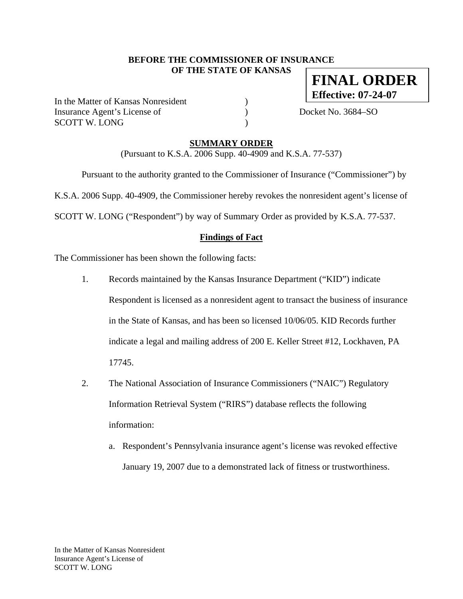#### **BEFORE THE COMMISSIONER OF INSURANCE OF THE STATE OF KANSAS**

In the Matter of Kansas Nonresident ) Insurance Agent's License of  $Docket No. 3684–SO$ SCOTT W. LONG )

**FINAL ORDER Effective: 07-24-07**

**SUMMARY ORDER**

(Pursuant to K.S.A. 2006 Supp. 40-4909 and K.S.A. 77-537)

Pursuant to the authority granted to the Commissioner of Insurance ("Commissioner") by

K.S.A. 2006 Supp. 40-4909, the Commissioner hereby revokes the nonresident agent's license of

SCOTT W. LONG ("Respondent") by way of Summary Order as provided by K.S.A. 77-537.

#### **Findings of Fact**

The Commissioner has been shown the following facts:

- 1. Records maintained by the Kansas Insurance Department ("KID") indicate Respondent is licensed as a nonresident agent to transact the business of insurance in the State of Kansas, and has been so licensed 10/06/05. KID Records further indicate a legal and mailing address of 200 E. Keller Street #12, Lockhaven, PA 17745.
- 2. The National Association of Insurance Commissioners ("NAIC") Regulatory Information Retrieval System ("RIRS") database reflects the following information:
	- a. Respondent's Pennsylvania insurance agent's license was revoked effective January 19, 2007 due to a demonstrated lack of fitness or trustworthiness.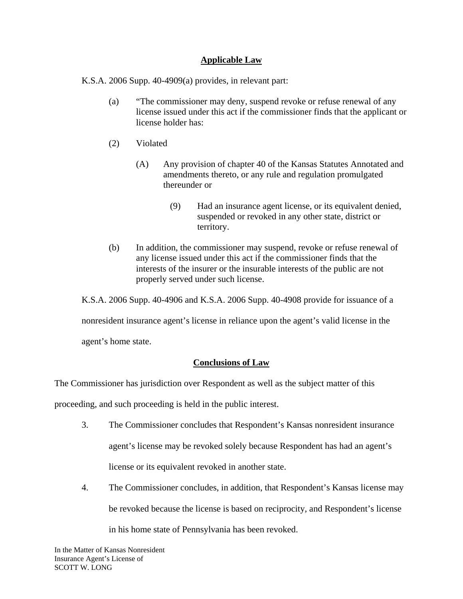#### **Applicable Law**

K.S.A. 2006 Supp. 40-4909(a) provides, in relevant part:

- (a) "The commissioner may deny, suspend revoke or refuse renewal of any license issued under this act if the commissioner finds that the applicant or license holder has:
- (2) Violated
	- (A) Any provision of chapter 40 of the Kansas Statutes Annotated and amendments thereto, or any rule and regulation promulgated thereunder or
		- (9) Had an insurance agent license, or its equivalent denied, suspended or revoked in any other state, district or territory.
- (b) In addition, the commissioner may suspend, revoke or refuse renewal of any license issued under this act if the commissioner finds that the interests of the insurer or the insurable interests of the public are not properly served under such license.

K.S.A. 2006 Supp. 40-4906 and K.S.A. 2006 Supp. 40-4908 provide for issuance of a

nonresident insurance agent's license in reliance upon the agent's valid license in the

agent's home state.

# **Conclusions of Law**

The Commissioner has jurisdiction over Respondent as well as the subject matter of this

proceeding, and such proceeding is held in the public interest.

- 3. The Commissioner concludes that Respondent's Kansas nonresident insurance agent's license may be revoked solely because Respondent has had an agent's license or its equivalent revoked in another state.
- 4. The Commissioner concludes, in addition, that Respondent's Kansas license may be revoked because the license is based on reciprocity, and Respondent's license in his home state of Pennsylvania has been revoked.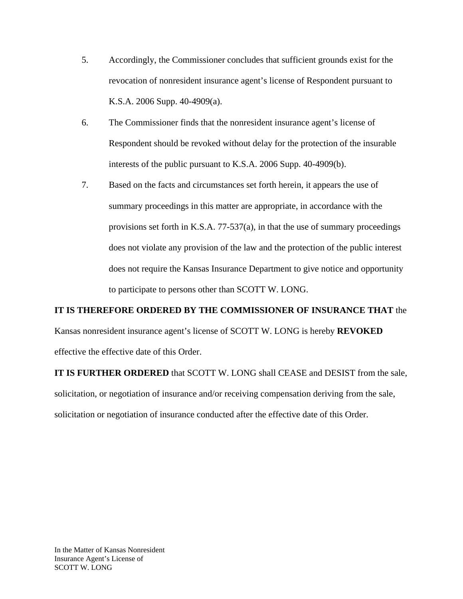- 5. Accordingly, the Commissioner concludes that sufficient grounds exist for the revocation of nonresident insurance agent's license of Respondent pursuant to K.S.A. 2006 Supp. 40-4909(a).
- 6. The Commissioner finds that the nonresident insurance agent's license of Respondent should be revoked without delay for the protection of the insurable interests of the public pursuant to K.S.A. 2006 Supp. 40-4909(b).
- 7. Based on the facts and circumstances set forth herein, it appears the use of summary proceedings in this matter are appropriate, in accordance with the provisions set forth in K.S.A. 77-537(a), in that the use of summary proceedings does not violate any provision of the law and the protection of the public interest does not require the Kansas Insurance Department to give notice and opportunity to participate to persons other than SCOTT W. LONG.

# **IT IS THEREFORE ORDERED BY THE COMMISSIONER OF INSURANCE THAT** the

Kansas nonresident insurance agent's license of SCOTT W. LONG is hereby **REVOKED**  effective the effective date of this Order.

**IT IS FURTHER ORDERED** that SCOTT W. LONG shall CEASE and DESIST from the sale, solicitation, or negotiation of insurance and/or receiving compensation deriving from the sale, solicitation or negotiation of insurance conducted after the effective date of this Order.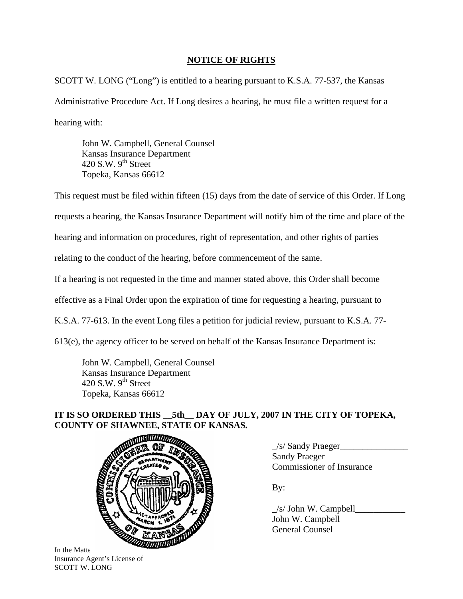# **NOTICE OF RIGHTS**

SCOTT W. LONG ("Long") is entitled to a hearing pursuant to K.S.A. 77-537, the Kansas Administrative Procedure Act. If Long desires a hearing, he must file a written request for a hearing with:

 John W. Campbell, General Counsel Kansas Insurance Department 420 S.W.  $9<sup>th</sup>$  Street Topeka, Kansas 66612

This request must be filed within fifteen (15) days from the date of service of this Order. If Long requests a hearing, the Kansas Insurance Department will notify him of the time and place of the hearing and information on procedures, right of representation, and other rights of parties relating to the conduct of the hearing, before commencement of the same. If a hearing is not requested in the time and manner stated above, this Order shall become effective as a Final Order upon the expiration of time for requesting a hearing, pursuant to K.S.A. 77-613. In the event Long files a petition for judicial review, pursuant to K.S.A. 77-

613(e), the agency officer to be served on behalf of the Kansas Insurance Department is:

 John W. Campbell, General Counsel Kansas Insurance Department 420 S.W.  $9<sup>th</sup>$  Street Topeka, Kansas 66612

# **IT IS SO ORDERED THIS \_\_5th\_\_ DAY OF JULY, 2007 IN THE CITY OF TOPEKA, COUNTY OF SHAWNEE, STATE OF KANSAS.**



In the Matter Insurance Agent's License of SCOTT W. LONG

\_/s/ Sandy Praeger\_\_\_\_\_\_\_\_\_\_\_\_\_\_\_ Sandy Praeger Commissioner of Insurance

 $/s/$  John W. Campbell John W. Campbell General Counsel